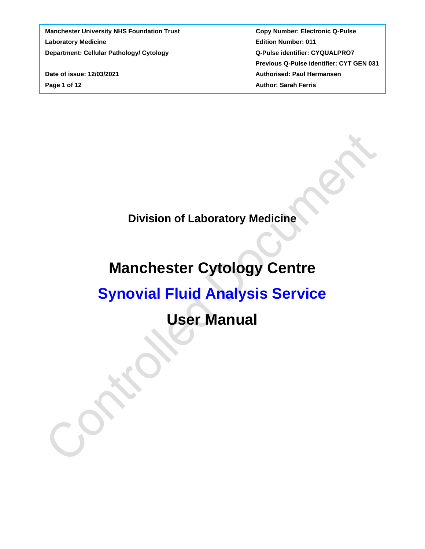**Page 1 of 12** Author: Sarah Ferris

 **Previous Q-Pulse identifier: CYT GEN 031 Date of issue: 12/03/2021 Authorised: Paul Hermansen** 

**Division of Laboratory Medicine**

# **Manchester Cytology Centre**

# **Synovial Fluid Analysis Service**

# **User Manual**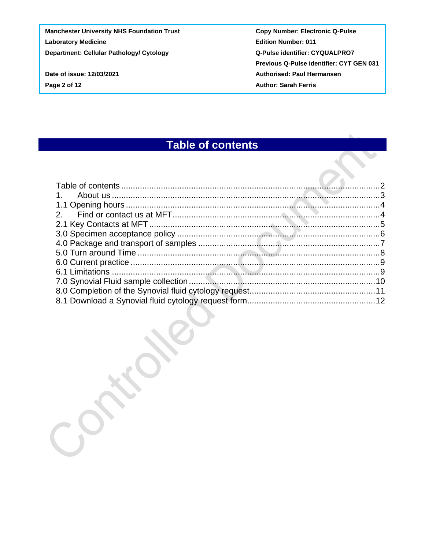**Manchester University NHS Foundation Trust Copy Number: Electronic Q-Pulse Laboratory Medicine Community Community Community Community Community Community Community Community Community Community Community Community Community Community Community Community Community Community Community Community C** 

**Department: Cellular Pathology/ Cytology Cacadian Cycle Act Accord Q-Pulse identifier: CYQUALPRO7 Previous Q-Pulse identifier: CYT GEN 031 Date of issue: 12/03/2021 Authorised: Paul Hermansen Page 2 of 12** Author: Sarah Ferris

## **Table of contents**

<span id="page-1-0"></span>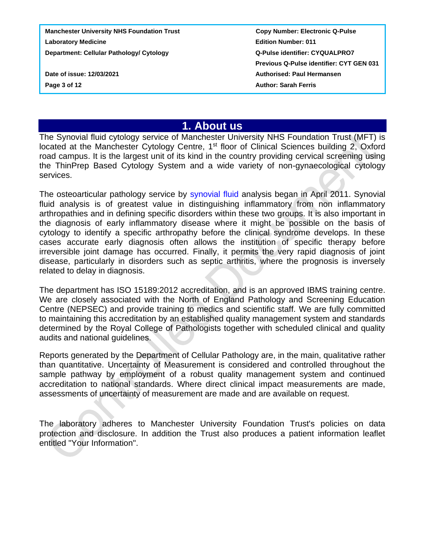**Manchester University NHS Foundation Trust Copy Number: Electronic Q-Pulse Laboratory Medicine Edition Number: 011 Department: Cellular Pathology/ Cytology Cases Access Access COVID-Department: CYQUALPRO7 Previous Q-Pulse identifier: CYT GEN 031 Date of issue: 12/03/2021 Authorised: Paul Hermansen Page 3 of 12 CONSERVING THE CONSERVANCE SARAH FERRIS** 

### **1. About us**

<span id="page-2-0"></span>The Synovial fluid cytology service of Manchester University NHS Foundation Trust (MFT) is located at the Manchester Cytology Centre, 1<sup>st</sup> floor of Clinical Sciences building 2, Oxford road campus. It is the largest unit of its kind in the country providing cervical screening using the ThinPrep Based Cytology System and a wide variety of non-gynaecological cytology services.

The osteoarticular pathology service by synovial fluid analysis began in April 2011. Synovial fluid analysis is of greatest value in distinguishing inflammatory from non inflammatory arthropathies and in defining specific disorders within these two groups. It is also important in the diagnosis of early inflammatory disease where it might be possible on the basis of cytology to identify a specific arthropathy before the clinical syndrome develops. In these cases accurate early diagnosis often allows the institution of specific therapy before irreversible joint damage has occurred. Finally, it permits the very rapid diagnosis of joint disease, particularly in disorders such as septic arthritis, where the prognosis is inversely related to delay in diagnosis.

The department has ISO 15189:2012 accreditation, and is an approved IBMS training centre. We are closely associated with the North of England Pathology and Screening Education Centre (NEPSEC) and provide training to medics and scientific staff. We are fully committed to maintaining this accreditation by an established quality management system and standards determined by the Royal College of Pathologists together with scheduled clinical and quality audits and national guidelines.

Reports generated by the Department of Cellular Pathology are, in the main, qualitative rather than quantitative. Uncertainty of Measurement is considered and controlled throughout the sample pathway by employment of a robust quality management system and continued accreditation to national standards. Where direct clinical impact measurements are made, assessments of uncertainty of measurement are made and are available on request.

The laboratory adheres to Manchester University Foundation Trust's policies on data protection and disclosure. In addition the Trust also produces a patient information leaflet entitled "Your Information".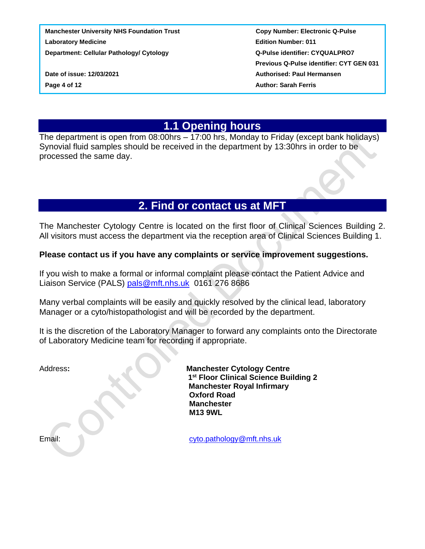**Manchester University NHS Foundation Trust Copy Number: Electronic Q-Pulse Laboratory Medicine Edition Number: 011 Department: Cellular Pathology/ Cytology Canadia Community Constrainer CYQUALPRO7** 

 **Previous Q-Pulse identifier: CYT GEN 031 Date of issue: 12/03/2021 Authorised: Paul Hermansen Page 4 of 12 CONSERVING THE CONSERVANCE SARAH FERRIS** 

## **1.1 Opening hours**

<span id="page-3-0"></span>The department is open from 08:00hrs – 17:00 hrs, Monday to Friday (except bank holidays) Synovial fluid samples should be received in the department by 13:30hrs in order to be processed the same day.

## **2. Find or contact us at MFT**

<span id="page-3-1"></span>The Manchester Cytology Centre is located on the first floor of Clinical Sciences Building 2. All visitors must access the department via the reception area of Clinical Sciences Building 1.

#### **Please contact us if you have any complaints or service improvement suggestions.**

If you wish to make a formal or informal complaint please contact the Patient Advice and Liaison Service (PALS) [pals@mft.nhs.uk](mailto:pals@mft.nhs.uk) 0161 276 8686

Many verbal complaints will be easily and quickly resolved by the clinical lead, laboratory Manager or a cyto/histopathologist and will be recorded by the department.

It is the discretion of the Laboratory Manager to forward any complaints onto the Directorate of Laboratory Medicine team for recording if appropriate.

Address: **Manchester Cytology Centre 1 st Floor Clinical Science Building 2 Manchester Royal Infirmary Oxford Road Manchester M13 9WL**

Email: [cyto.pathology@mft.nhs.uk](mailto:cyto.pathology@mft.nhs.uk)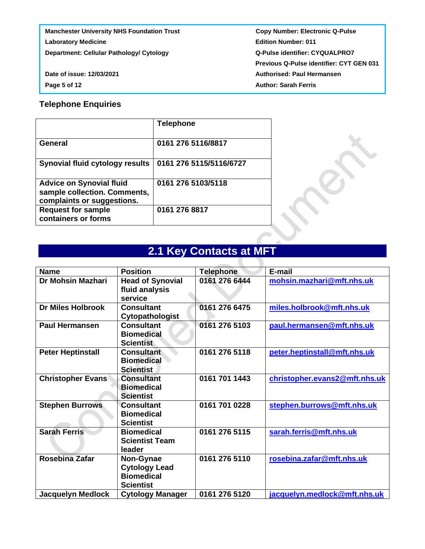**Manchester University NHS Foundation Trust Copy Number: Electronic Q-Pulse Laboratory Medicine Community Community Community Community Community Community Community Community Community Community Community Community Community Community Community Community Community Community Community Community C** 

**Department: Cellular Pathology/ Cytology Cacadian Cycle Act Accord Q-Pulse identifier: CYQUALPRO7 Previous Q-Pulse identifier: CYT GEN 031 Date of issue: 12/03/2021 Authorised: Paul Hermansen Page 5 of 12** Author: Sarah Ferris

#### **Telephone Enquiries**

|                                                                                               | <b>Telephone</b>        |
|-----------------------------------------------------------------------------------------------|-------------------------|
| <b>General</b>                                                                                | 0161 276 5116/8817      |
| <b>Synovial fluid cytology results</b>                                                        | 0161 276 5115/5116/6727 |
| <b>Advice on Synovial fluid</b><br>sample collection. Comments,<br>complaints or suggestions. | 0161 276 5103/5118      |
| <b>Request for sample</b><br>containers or forms                                              | 0161 276 8817           |

# **2.1 Key Contacts at MFT**

<span id="page-4-0"></span>

| <b>Name</b>              | <b>Position</b>                                                            | <b>Telephone</b> | E-mail                        |
|--------------------------|----------------------------------------------------------------------------|------------------|-------------------------------|
| Dr Mohsin Mazhari        | <b>Head of Synovial</b><br>fluid analysis<br>service                       | 0161 276 6444    | mohsin.mazhari@mft.nhs.uk     |
| <b>Dr Miles Holbrook</b> | <b>Consultant</b><br>Cytopathologist                                       | 0161 276 6475    | miles.holbrook@mft.nhs.uk     |
| <b>Paul Hermansen</b>    | <b>Consultant</b><br><b>Biomedical</b><br><b>Scientist</b>                 | 0161 276 5103    | paul.hermansen@mft.nhs.uk     |
| <b>Peter Heptinstall</b> | <b>Consultant</b><br><b>Biomedical</b><br><b>Scientist</b>                 | 0161 276 5118    | peter.heptinstall@mft.nhs.uk  |
| <b>Christopher Evans</b> | <b>Consultant</b><br><b>Biomedical</b><br><b>Scientist</b>                 | 0161 701 1443    | christopher.evans2@mft.nhs.uk |
| <b>Stephen Burrows</b>   | <b>Consultant</b><br><b>Biomedical</b><br><b>Scientist</b>                 | 0161 701 0228    | stephen.burrows@mft.nhs.uk    |
| <b>Sarah Ferris</b>      | <b>Biomedical</b><br><b>Scientist Team</b><br>leader                       | 0161 276 5115    | sarah.ferris@mft.nhs.uk       |
| Rosebina Zafar           | Non-Gynae<br><b>Cytology Lead</b><br><b>Biomedical</b><br><b>Scientist</b> | 0161 276 5110    | rosebina.zafar@mft.nhs.uk     |
| <b>Jacquelyn Medlock</b> | <b>Cytology Manager</b>                                                    | 0161 276 5120    | jacquelyn.medlock@mft.nhs.uk  |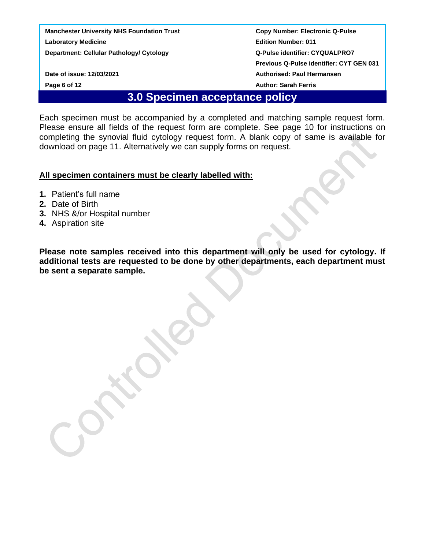<span id="page-5-0"></span>

 **Previous Q-Pulse identifier: CYT GEN 031 Date of issue: 12/03/2021 Authorised: Paul Hermansen Page 6 of 12** Author: Sarah Ferris

### **3.0 Specimen acceptance policy**

Each specimen must be accompanied by a completed and matching sample request form. Please ensure all fields of the request form are complete. See page 10 for instructions on completing the synovial fluid cytology request form. A blank copy of same is available for download on page 11. Alternatively we can supply forms on request.

#### **All specimen containers must be clearly labelled with:**

- **1.** Patient's full name
- **2.** Date of Birth
- **3.** NHS &/or Hospital number
- **4.** Aspiration site

**Please note samples received into this department will only be used for cytology. If additional tests are requested to be done by other departments, each department must be sent a separate sample.**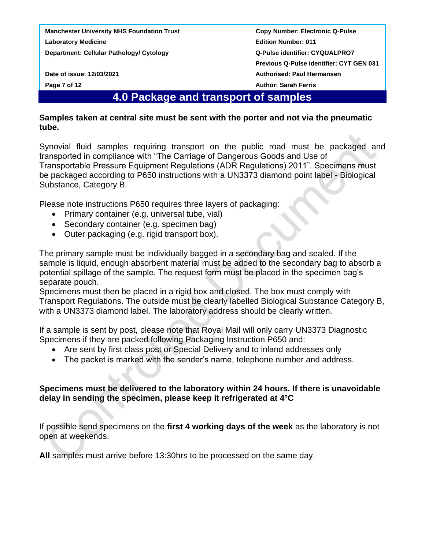**Manchester University NHS Foundation Trust Copy Number: Electronic Q-Pulse Laboratory Medicine Edition Number: 011**

<span id="page-6-0"></span>

### **4.0 Package and transport of samples**

#### **Samples taken at central site must be sent with the porter and not via the pneumatic tube.**

Synovial fluid samples requiring transport on the public road must be packaged and transported in compliance with "The Carriage of Dangerous Goods and Use of Transportable Pressure Equipment Regulations (ADR Regulations) 2011". Specimens must be packaged according to P650 instructions with a UN3373 diamond point label - Biological Substance, Category B.

Please note instructions P650 requires three layers of packaging:

- Primary container (e.g. universal tube, vial)
- Secondary container (e.g. specimen bag)
- Outer packaging (e.g. rigid transport box).

The primary sample must be individually bagged in a secondary bag and sealed. If the sample is liquid, enough absorbent material must be added to the secondary bag to absorb a potential spillage of the sample. The request form must be placed in the specimen bag's separate pouch.

Specimens must then be placed in a rigid box and closed. The box must comply with Transport Regulations. The outside must be clearly labelled Biological Substance Category B, with a UN3373 diamond label. The laboratory address should be clearly written.

If a sample is sent by post, please note that Royal Mail will only carry UN3373 Diagnostic Specimens if they are packed following Packaging Instruction P650 and:

- Are sent by first class post or Special Delivery and to inland addresses only
- The packet is marked with the sender's name, telephone number and address.

#### **Specimens must be delivered to the laboratory within 24 hours. If there is unavoidable delay in sending the specimen, please keep it refrigerated at 4°C**

If possible send specimens on the **first 4 working days of the week** as the laboratory is not open at weekends.

**All** samples must arrive before 13:30hrs to be processed on the same day.

**Department: Cellular Pathology/ Cytology Cases Access Access COVID-Department: CYQUALPRO7 Previous Q-Pulse identifier: CYT GEN 031 Date of issue: 12/03/2021 Authorised: Paul Hermansen Page 7 of 12 Page 7 of 12** *Page 7 of 12 Author: Sarah Ferris*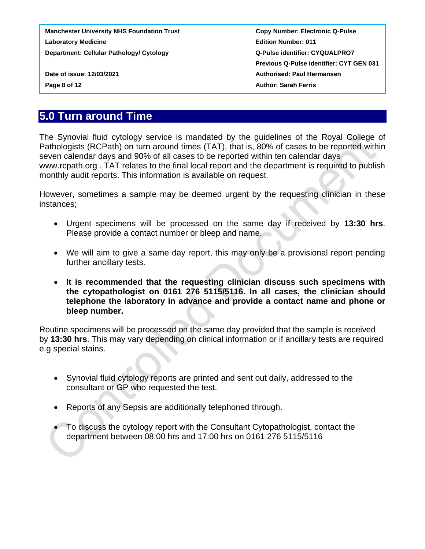**Previous Q-Pulse identifier: CYT GEN 031 Date of issue: 12/03/2021 Authorised: Paul Hermansen Page 8 of 12 Page 8 of 12** *Page 8 of 12 Author: Sarah Ferris* 

## <span id="page-7-0"></span>**5.0 Turn around Time**

The Synovial fluid cytology service is mandated by the guidelines of the Royal College of Pathologists (RCPath) on turn around times (TAT), that is, 80% of cases to be reported within seven calendar days and 90% of all cases to be reported within ten calendar days www.rcpath.org . TAT relates to the final local report and the department is required to publish monthly audit reports. This information is available on request.

However, sometimes a sample may be deemed urgent by the requesting clinician in these instances;

- Urgent specimens will be processed on the same day if received by **13:30 hrs**. Please provide a contact number or bleep and name.
- We will aim to give a same day report, this may only be a provisional report pending further ancillary tests.
- **It is recommended that the requesting clinician discuss such specimens with the cytopathologist on 0161 276 5115/5116. In all cases, the clinician should telephone the laboratory in advance and provide a contact name and phone or bleep number.**

Routine specimens will be processed on the same day provided that the sample is received by **13:30 hrs**. This may vary depending on clinical information or if ancillary tests are required e.g special stains.

- Synovial fluid cytology reports are printed and sent out daily, addressed to the consultant or GP who requested the test.
- Reports of any Sepsis are additionally telephoned through.
- To discuss the cytology report with the Consultant Cytopathologist, contact the department between 08:00 hrs and 17:00 hrs on 0161 276 5115/5116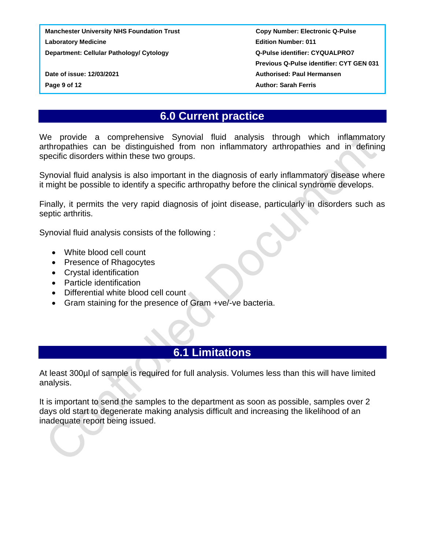**Previous Q-Pulse identifier: CYT GEN 031 Date of issue: 12/03/2021 Authorised: Paul Hermansen Page 9 of 12 CONSERVING THE CONSERVANCE SARAH FERRIS** 

### **6.0 Current practice**

<span id="page-8-0"></span>We provide a comprehensive Synovial fluid analysis through which inflammatory arthropathies can be distinguished from non inflammatory arthropathies and in defining specific disorders within these two groups.

Synovial fluid analysis is also important in the diagnosis of early inflammatory disease where it might be possible to identify a specific arthropathy before the clinical syndrome develops.

Finally, it permits the very rapid diagnosis of joint disease, particularly in disorders such as septic arthritis.

Synovial fluid analysis consists of the following :

- White blood cell count
- Presence of Rhagocytes
- Crystal identification
- Particle identification
- Differential white blood cell count
- Gram staining for the presence of Gram +ve/-ve bacteria.

## **6.1 Limitations**

<span id="page-8-1"></span>At least 300µl of sample is required for full analysis. Volumes less than this will have limited analysis.

It is important to send the samples to the department as soon as possible, samples over 2 days old start to degenerate making analysis difficult and increasing the likelihood of an inadequate report being issued.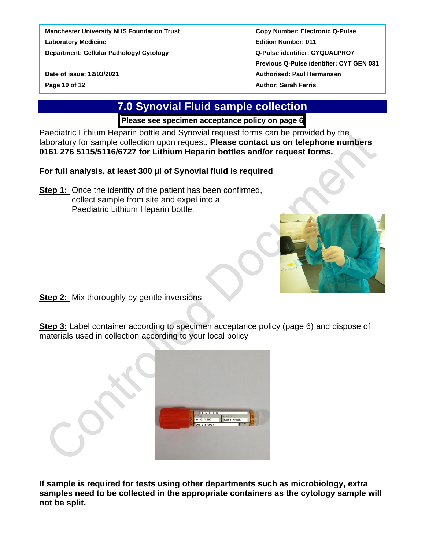<span id="page-9-0"></span>

 **Previous Q-Pulse identifier: CYT GEN 031 Date of issue: 12/03/2021 Authorised: Paul Hermansen Page 10 of 12** Author: Sarah Ferris

# **7.0 Synovial Fluid sample collection**

**Please see specimen acceptance policy on page 6**

Paediatric Lithium Heparin bottle and Synovial request forms can be provided by the laboratory for sample collection upon request. **Please contact us on telephone numbers 0161 276 5115/5116/6727 for Lithium Heparin bottles and/or request forms.**

**For full analysis, at least 300 µl of Synovial fluid is required**

**Step 1:** Once the identity of the patient has been confirmed, collect sample from site and expel into a Paediatric Lithium Heparin bottle.



**Step 2:** Mix thoroughly by gentle inversions

**Step 3:** Label container according to specimen acceptance policy (page 6) and dispose of materials used in collection according to your local policy

|  | A. NOTHER<br>D.O.B<br>01/01/1960<br>616 245 6987 | WARD<br>LEFT KNEE<br>M/F |  |
|--|--------------------------------------------------|--------------------------|--|

**If sample is required for tests using other departments such as microbiology, extra samples need to be collected in the appropriate containers as the cytology sample will not be split.**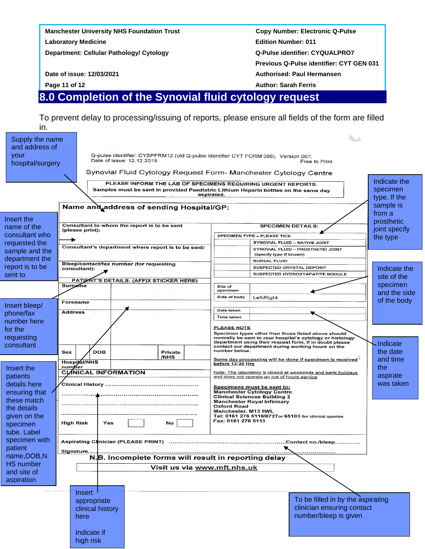| <b>Authorised: Paul Hermansen</b><br><b>Author: Sarah Ferris</b> |
|------------------------------------------------------------------|
|                                                                  |
|                                                                  |
| <b>Previous Q-Pulse identifier: CYT GEN 031</b>                  |
| <b>Q-Pulse identifier: CYQUALPRO7</b>                            |
| <b>Edition Number: 011</b>                                       |
| <b>Copy Number: Electronic Q-Pulse</b>                           |
|                                                                  |

<span id="page-10-0"></span>To prevent delay to processing/issuing of reports, please ensure all fields of the form are filled

| in.<br>Supply the name<br>and address of<br>your<br>hospital/surgery                                                           | Q-pulse identifier: CYSPFRM12 (old Q-pulse identifier CYT FORM 096), Version 007,<br>Date of issue: 12.12.2019                                                                                                                | Free to Print<br>Synovial Fluid Cytology Request Form- Manchester Cytology Centre<br>PLEASE INFORM THE LAB OF SPECIMENS REQUIRING URGENT REPORTS.<br>Samples must be sent in provided Paediatric Lithium Heparin bottles on the same day<br>aspirated.                                                                                                                                                                                             | Indicate the<br>specimen<br>type. If the<br>sample is                            |
|--------------------------------------------------------------------------------------------------------------------------------|-------------------------------------------------------------------------------------------------------------------------------------------------------------------------------------------------------------------------------|----------------------------------------------------------------------------------------------------------------------------------------------------------------------------------------------------------------------------------------------------------------------------------------------------------------------------------------------------------------------------------------------------------------------------------------------------|----------------------------------------------------------------------------------|
| Insert the<br>name of the<br>consultant who<br>requested the<br>sample and the<br>department the<br>report is to be<br>sent to | Name and address of sending Hospital/GP:<br>Consultant to whom the report is to be sent<br>(please print):<br>Consultant's department where report is to be sent:<br>Bleep/contact/fax number (for requesting<br>consultant): | <b>SPECIMEN DETAILS:</b><br>SPECIMEN TYPE - PLEASE TICK<br>SYNOVIAL FLUID - NATIVE JOINT<br>SYNOVIAL FLUID - PROSTHETIC JOINT<br>(specify type if known)<br><b>BURSAL FLUID</b><br>SUSPECTED CRYSTAL DEPOSIT<br>SUSPECTED HYDROXYAPATITE NODULE                                                                                                                                                                                                    | from a<br>prosthetic<br>joint specify<br>the type<br>Indicate the<br>site of the |
| Insert bleep/<br>phone/fax<br>number here                                                                                      | PATJENT'S DETAILS: (AFFIX STICKER HERE)<br>Surname<br>Forename<br><b>Address</b>                                                                                                                                              | Site of<br>specimen<br>Side of body<br>Left/Right<br>Date taken<br>Time taken<br><b>PLEASE NOTE</b>                                                                                                                                                                                                                                                                                                                                                | specimen<br>and the side<br>of the body                                          |
| for the<br>requesting<br>consultant<br>Insert the<br>patients                                                                  | <b>DOB</b><br>Sex<br>Private<br>/NHS<br>Hospital/NHS<br>number<br><b>CLANICAL INFORMATION</b>                                                                                                                                 | Specimen types other than those listed above should<br>normally be sent to your hospital's cytology or histology<br>department using their request form. If in doubt please<br>contact our department during working hours on the<br>number below.<br>Same day processing will be done if specimen is received<br>before 13:30 Hrs<br>Note: The laboratory is closed at weekends and bank holidays<br>and does not operate an out of hours service | .Indicate<br>the date<br>and time<br>the<br>aspirate                             |
| details here<br>ensuring that<br>these match<br>the details<br>given on the<br>specimen<br>tube. Label                         | Clinical History<br>High Risk<br>Yes<br>No                                                                                                                                                                                    | Specimens must be sent to:<br><b>Manchester Cytology Centre</b><br><b>Clinical Sciences Building 2</b><br>Manchester Royal Infirmary<br>Oxford Road<br>Manchester. M13 9WL<br>Tel: 0161 276 5116/6727 or 65103 for clinical queries<br>Fax: 0161 276 5113                                                                                                                                                                                          | was taken                                                                        |
| specimen with<br>patient<br>name, DOB, N<br><b>HS</b> number<br>and site of<br>aspiration                                      | Signature<br>N.B. Incomplete forms will result in reporting delay<br>Visit us via www.mft.nhs.uk                                                                                                                              |                                                                                                                                                                                                                                                                                                                                                                                                                                                    |                                                                                  |
|                                                                                                                                | <b>Insert</b><br>appropriate<br>clinical history<br>here<br>Indicate if<br>high risk                                                                                                                                          | To be filled in by the aspirating<br>clinician ensuring contact<br>number/bleep is given                                                                                                                                                                                                                                                                                                                                                           |                                                                                  |